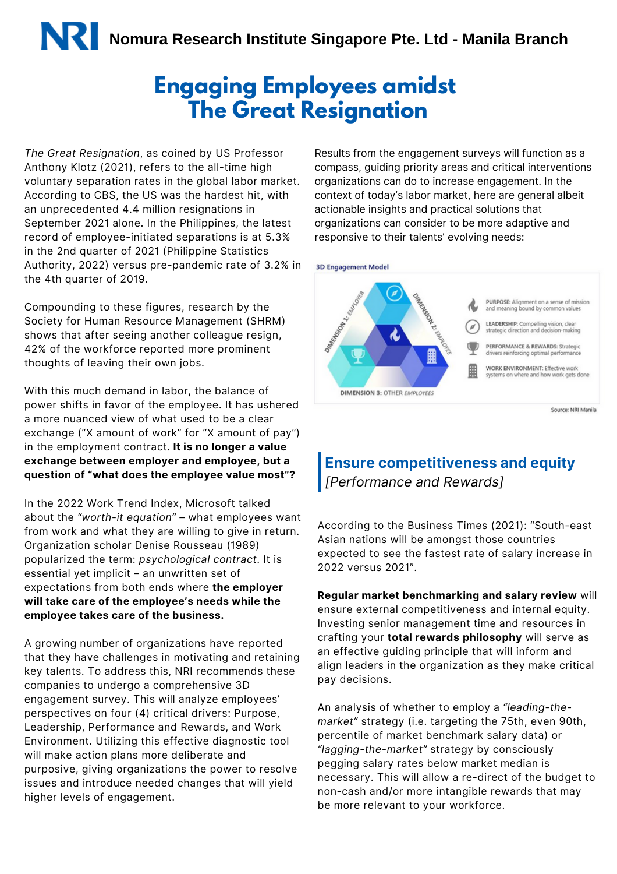### **Engaging Employees amidst The Great Resignation**

*The Great Resignation*, as coined by US Professor Anthony Klotz (2021), refers to the all-time high voluntary separation rates in the global labor market. According to CBS, the US was the hardest hit, with an unprecedented 4.4 million resignations in September 2021 alone. In the Philippines, the latest record of employee-initiated separations is at 5.3% in the 2nd quarter of 2021 (Philippine Statistics Authority, 2022) versus pre-pandemic rate of 3.2% in the 4th quarter of 2019.

Compounding to these figures, research by the Society for Human Resource Management (SHRM) shows that after seeing another colleague resign, 42% of the workforce reported more prominent thoughts of leaving their own jobs.

With this much demand in labor, the balance of power shifts in favor of the employee. It has ushered a more nuanced view of what used to be a clear exchange ("X amount of work" for "X amount of pay") in the employment contract. **It is no longer a value exchange between employer and employee, but a question of "what does the employee value most"?**

In the 2022 Work Trend Index, Microsoft talked about the *"worth-it equation"* – what employees want from work and what they are willing to give in return. Organization scholar Denise Rousseau (1989) popularized the term: *psychological contract*. It is essential yet implicit – an unwritten set of expectations from both ends where **the employer will take care of the employee's needs while the employee takes care of the business.**

A growing number of organizations have reported that they have challenges in motivating and retaining key talents. To address this, NRI recommends these companies to undergo a comprehensive 3D engagement survey. This will analyze employees' perspectives on four (4) critical drivers: Purpose, Leadership, Performance and Rewards, and Work Environment. Utilizing this effective diagnostic tool will make action plans more deliberate and purposive, giving organizations the power to resolve issues and introduce needed changes that will yield higher levels of engagement.

Results from the engagement surveys will function as a compass, guiding priority areas and critical interventions organizations can do to increase engagement. In the context of today's labor market, here are general albeit actionable insights and practical solutions that organizations can consider to be more adaptive and responsive to their talents' evolving needs:





### **Ensure competitiveness and equity** *[Performance and Rewards]*

According to the Business Times (2021): "South-east Asian nations will be amongst those countries expected to see the fastest rate of salary increase in 2022 versus 2021".

**Regular market benchmarking and salary review** will ensure external competitiveness and internal equity. Investing senior management time and resources in crafting your **total rewards philosophy** will serve as an effective guiding principle that will inform and align leaders in the organization as they make critical pay decisions.

An analysis of whether to employ a *"leading-themarket"* strategy (i.e. targeting the 75th, even 90th, percentile of market benchmark salary data) or *"lagging-the-market"* strategy by consciously pegging salary rates below market median is necessary. This will allow a re-direct of the budget to non-cash and/or more intangible rewards that may be more relevant to your workforce.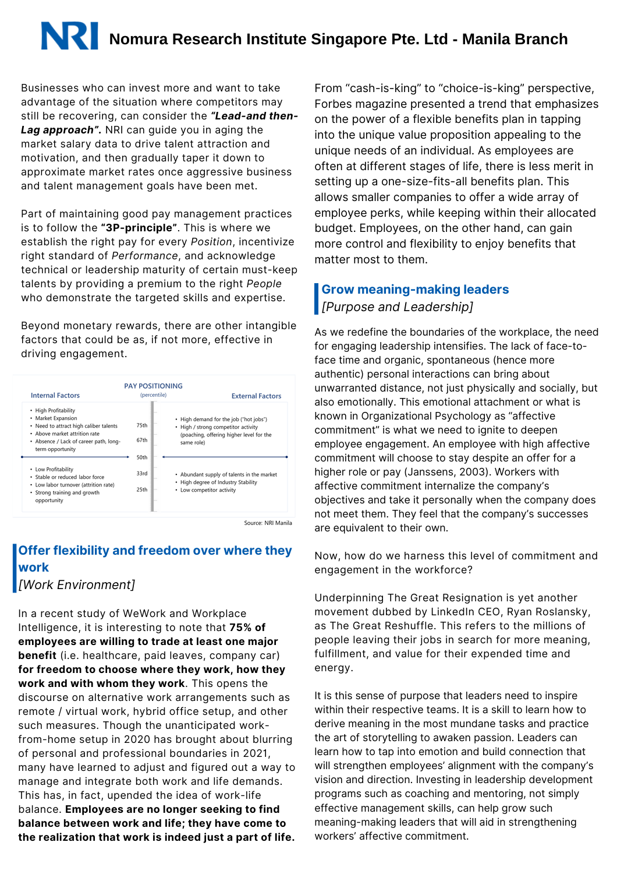# **Nomura Research Institute Singapore Pte. Ltd - Manila Branch**

Businesses who can invest more and want to take advantage of the situation where competitors may still be recovering, can consider the *"Lead-and then-Lag approach".* NRI can guide you in aging the market salary data to drive talent attraction and motivation, and then gradually taper it down to approximate market rates once aggressive business and talent management goals have been met.

Part of maintaining good pay management practices is to follow the **"3P-principle"**. This is where we establish the right pay for every *Position*, incentivize right standard of *Performance*, and acknowledge technical or leadership maturity of certain must-keep talents by providing a premium to the right *People* who demonstrate the targeted skills and expertise.

Beyond monetary rewards, there are other intangible factors that could be as, if not more, effective in driving engagement.



Source: NRI Manila

#### **Offer flexibility and freedom over where they work** *[Work Environment]*

In a recent study of WeWork and Workplace Intelligence, it is interesting to note that **75% of employees are willing to trade at least one major benefit** (i.e. healthcare, paid leaves, company car) **for freedom to choose where they work, how they work and with whom they work**. This opens the discourse on alternative work arrangements such as remote / virtual work, hybrid office setup, and other such measures. Though the unanticipated workfrom-home setup in 2020 has brought about blurring of personal and professional boundaries in 2021, many have learned to adjust and figured out a way to manage and integrate both work and life demands. This has, in fact, upended the idea of work-life balance. **Employees are no longer seeking to find balance between work and life; they have come to the realization that work is indeed just a part of life.** From "cash-is-king" to "choice-is-king" perspective, Forbes magazine presented a trend that emphasizes on the power of a flexible benefits plan in tapping into the unique value proposition appealing to the unique needs of an individual. As employees are often at different stages of life, there is less merit in setting up a one-size-fits-all benefits plan. This allows smaller companies to offer a wide array of employee perks, while keeping within their allocated budget. Employees, on the other hand, can gain more control and flexibility to enjoy benefits that matter most to them.

#### **Grow meaning-making leaders** *[Purpose and Leadership]*

As we redefine the boundaries of the workplace, the need for engaging leadership intensifies. The lack of face-toface time and organic, spontaneous (hence more authentic) personal interactions can bring about unwarranted distance, not just physically and socially, but also emotionally. This emotional attachment or what is known in Organizational Psychology as "affective commitment" is what we need to ignite to deepen employee engagement. An employee with high affective commitment will choose to stay despite an offer for a higher role or pay (Janssens, 2003). Workers with affective commitment internalize the company's objectives and take it personally when the company does not meet them. They feel that the company's successes are equivalent to their own.

Now, how do we harness this level of commitment and engagement in the workforce?

Underpinning The Great Resignation is yet another movement dubbed by LinkedIn CEO, Ryan Roslansky, as The Great Reshuffle. This refers to the millions of people leaving their jobs in search for more meaning, fulfillment, and value for their expended time and energy.

It is this sense of purpose that leaders need to inspire within their respective teams. It is a skill to learn how to derive meaning in the most mundane tasks and practice the art of storytelling to awaken passion. Leaders can learn how to tap into emotion and build connection that will strengthen employees' alignment with the company's vision and direction. Investing in leadership development programs such as coaching and mentoring, not simply effective management skills, can help grow such meaning-making leaders that will aid in strengthening workers' affective commitment.